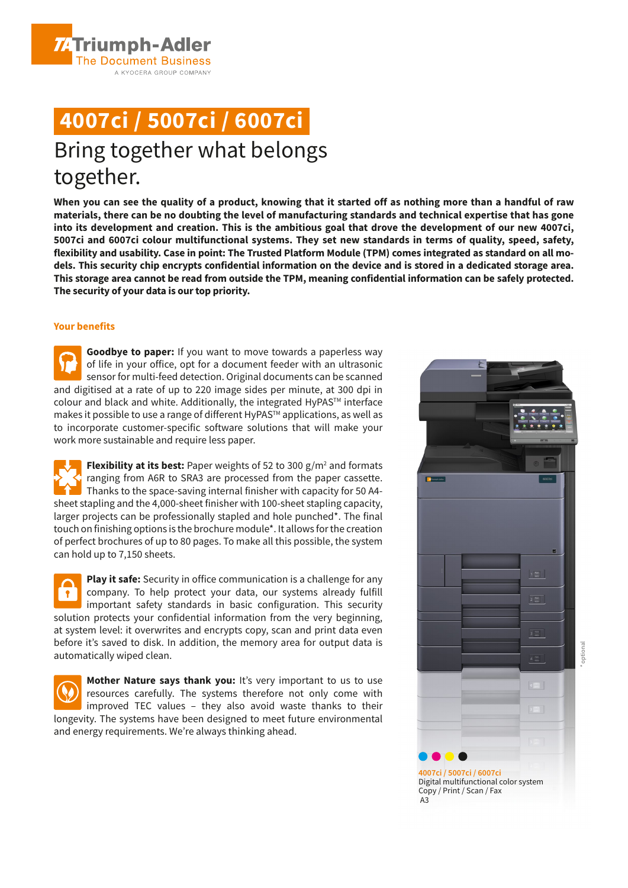**4007ci / 5007ci / 6007ci**

A KYOCERA GROUP COMPANY

**ZATriumph-Adler The Document Business** 

# Bring together what belongs together.

**When you can see the quality of a product, knowing that it started off as nothing more than a handful of raw materials, there can be no doubting the level of manufacturing standards and technical expertise that has gone into its development and creation. This is the ambitious goal that drove the development of our new 4007ci, 5007ci and 6007ci colour multifunctional systems. They set new standards in terms of quality, speed, safety, flexibility and usability. Case in point: The Trusted Platform Module (TPM) comes integrated as standard on all models. This security chip encrypts confidential information on the device and is stored in a dedicated storage area. This storage area cannot be read from outside the TPM, meaning confidential information can be safely protected. The security of your data is our top priority.**

### **Your benefits**

**Goodbye to paper:** If you want to move towards a paperless way of life in your office, opt for a document feeder with an ultrasonic sensor for multi-feed detection. Original documents can be scanned and digitised at a rate of up to 220 image sides per minute, at 300 dpi in colour and black and white. Additionally, the integrated HyPAS™ interface makes it possible to use a range of different HyPAS<sup>™</sup> applications, as well as to incorporate customer-specific software solutions that will make your work more sustainable and require less paper.

**Flexibility at its best:** Paper weights of 52 to 300 g/m<sup>2</sup> and formats ranging from A6R to SRA3 are processed from the paper cassette. Thanks to the space-saving internal finisher with capacity for 50 A4 sheet stapling and the 4,000-sheet finisher with 100-sheet stapling capacity, larger projects can be professionally stapled and hole punched\*. The final touch on finishing options is the brochure module\*. It allows for the creation of perfect brochures of up to 80 pages. To make all this possible, the system can hold up to 7,150 sheets.

**Play it safe:** Security in office communication is a challenge for any company. To help protect your data, our systems already fulfill  $\sqrt{1}$ important safety standards in basic configuration. This security solution protects your confidential information from the very beginning, at system level: it overwrites and encrypts copy, scan and print data even before it's saved to disk. In addition, the memory area for output data is automatically wiped clean.

**Mother Nature says thank you:** It's very important to us to use resources carefully. The systems therefore not only come with improved TEC values – they also avoid waste thanks to their longevity. The systems have been designed to meet future environmental and energy requirements. We're always thinking ahead.